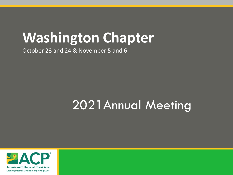# **Washington Chapter**

October 23 and 24 & November 5 and 6

# 2021Annual Meeting

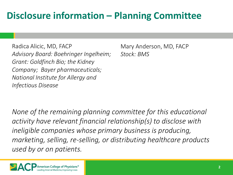### **Disclosure information – Planning Committee**

Radica Alicic, MD, FACP *Advisory Board: Boehringer Ingelheim; Grant: Goldfinch Bio; the Kidney Company; Bayer pharmaceuticals; National Institute for Allergy and Infectious Disease*

Mary Anderson, MD, FACP *Stock: BMS*

*None of the remaining planning committee for this educational activity have relevant financial relationship(s) to disclose with ineligible companies whose primary business is producing, marketing, selling, re-selling, or distributing healthcare products used by or on patients.* 

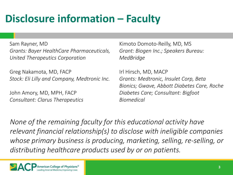# **Disclosure information – Faculty**

Sam Rayner, MD *Grants: Bayer HealthCare Pharmaceuticals, United Therapeutics Corporation*

Greg Nakamota, MD, FACP *Stock: Eli Lilly and Company, Medtronic Inc.*

John Amory, MD, MPH, FACP *Consultant: Clarus Therapeutics*

Kimoto Domoto-Reilly, MD, MS *Grant: Biogen Inc.; Speakers Bureau: MedBridge*

Irl Hirsch, MD, MACP *Grants: Medtronic, Insulet Corp, Beta Bionics; Gwave, Abbott Diabetes Care, Roche Diabetes Care; Consultant: Bigfoot Biomedical*

*None of the remaining faculty for this educational activity have relevant financial relationship(s) to disclose with ineligible companies whose primary business is producing, marketing, selling, re-selling, or distributing healthcare products used by or on patients.* 

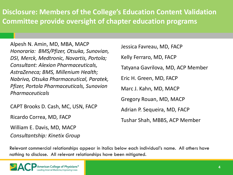#### **Disclosure: Members of the College's Education Content Validation Committee provide oversight of chapter education programs**

Alpesh N. Amin, MD, MBA, MACP *Honoraria: BMS/Pfizer, Otsuka, Sunovian, DSI, Merck, Medtronic, Novartis, Portola; Consultant: Alexion Pharmaceuticals, AstraZeneca; BMS, Millenium Health; Nabriva, Otsuka Pharmaceutical, Paratek, Pfizer, Portola Pharmaceuticals, Sunovion Pharmaceuticals*

CAPT Brooks D. Cash, MC, USN, FACP

Ricardo Correa, MD, FACP

William E. Davis, MD, MACP

*Consultantship: Kinetix Group*

| Jessica Favreau, MD, FACP         |
|-----------------------------------|
| Kelly Ferraro, MD, FACP           |
| Tatyana Gavrilova, MD, ACP Member |
| Eric H. Green, MD, FACP           |
| Marc J. Kahn, MD, MACP            |
| Gregory Rouan, MD, MACP           |
| Adrian P. Sequeira, MD, FACP      |
| Tushar Shah, MBBS, ACP Member     |

Relevant commercial relationships appear in italics below each individual's name. All others have nothing to disclose. All relevant relationships have been mitigated.

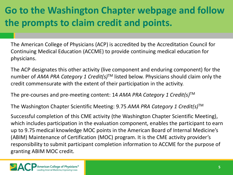## **Go to the Washington Chapter webpage and follow the prompts to claim credit and points.**

The American College of Physicians (ACP) is accredited by the Accreditation Council for Continuing Medical Education (ACCME) to provide continuing medical education for physicians.

The ACP designates this other activity (live component and enduring component) for the number of *AMA PRA Category 1 Credit(s)*TM listed below. Physicians should claim only the credit commensurate with the extent of their participation in the activity.

The pre-courses and pre-meeting content: 14 *AMA PRA Category 1 Credit(s)*TM

The Washington Chapter Scientific Meeting: 9.75 *AMA PRA Category 1 Credit(s)*TM

Successful completion of this CME activity (the Washington Chapter Scientific Meeting), which includes participation in the evaluation component, enables the participant to earn up to 9.75 medical knowledge MOC points in the American Board of Internal Medicine's (ABIM) Maintenance of Certification (MOC) program. It is the CME activity provider's responsibility to submit participant completion information to ACCME for the purpose of granting ABIM MOC credit.